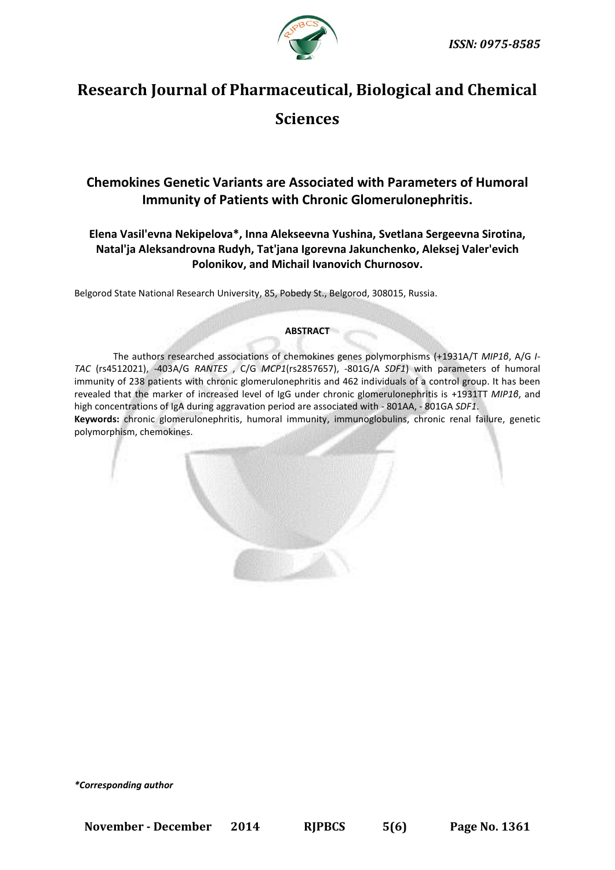

# **Research Journal of Pharmaceutical, Biological and Chemical**

## **Sciences**

## **Chemokines Genetic Variants are Associated with Parameters of Humoral Immunity of Patients with Chronic Glomerulonephritis.**

### **Elena Vasil'evna Nekipelova\*, Inna Alekseevna Yushina, Svetlana Sergeevna Sirotina, Natal'ja Aleksandrovna Rudyh, Tat'jana Igorevna Jakunchenko, Aleksej Valer'evich Polonikov, and Michail Ivanovich Churnosov.**

Belgorod State National Research University, 85, Pobedy St., Belgorod, 308015, Russia.

#### **ABSTRACT**

The authors researched associations of chemokines genes polymorphisms (+1931А/Т *MIP1β*, A/G *I-TAC* (rs4512021), -403A/G *RANTES* , C/G *MCP1*(rs2857657), -801G/A *SDF1*) with parameters of humoral immunity of 238 patients with chronic glomerulonephritis and 462 individuals of a control group. It has been revealed that the marker of increased level of IgG under chronic glomerulonephritis is +1931ТТ *MIP1β*, and high concentrations of IgA during aggravation period are associated with - 801AA, - 801GА *SDF1*. **Keywords:** chronic glomerulonephritis, humoral immunity, immunoglobulins, chronic renal failure, genetic

polymorphism, chemokines.

*\*Corresponding author*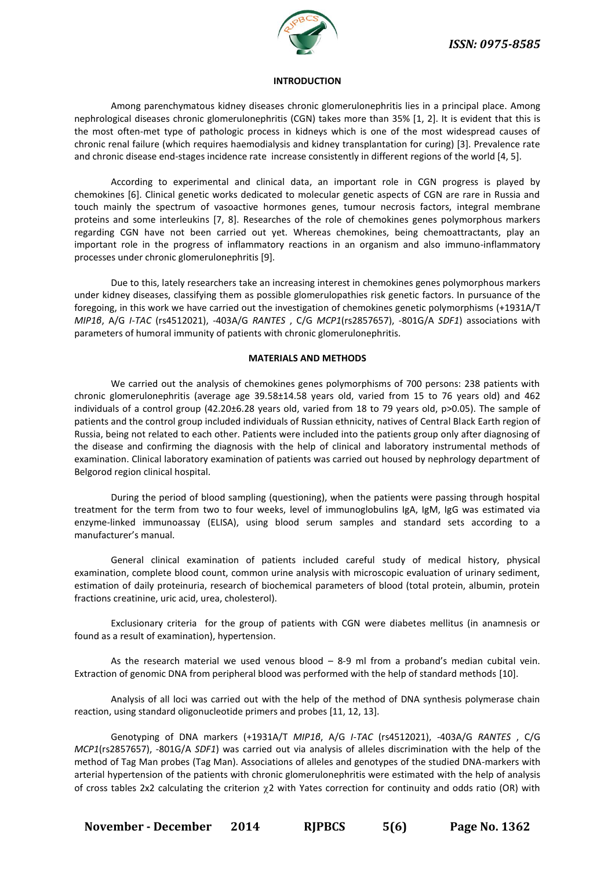

#### **INTRODUCTION**

Among parenchymatous kidney diseases chronic glomerulonephritis lies in a principal place. Among nephrological diseases chronic glomerulonephritis (CGN) takes more than 35% [1, 2]. It is evident that this is the most often-met type of pathologic process in kidneys which is one of the most widespread causes of chronic renal failure (which requires haemodialysis and kidney transplantation for curing) [3]. Prevalence rate and chronic disease end-stages incidence rate increase consistently in different regions of the world [4, 5].

According to experimental and clinical data, an important role in CGN progress is played by chemokines [6]. Clinical genetic works dedicated to molecular genetic aspects of CGN are rare in Russia and touch mainly the spectrum of vasoactive hormones genes, tumour necrosis factors, integral membrane proteins and some interleukins [7, 8]. Researches of the role of chemokines genes polymorphous markers regarding CGN have not been carried out yet. Whereas chemokines, being chemoattractants, play an important role in the progress of inflammatory reactions in an organism and also immuno-inflammatory processes under chronic glomerulonephritis [9].

Due to this, lately researchers take an increasing interest in chemokines genes polymorphous markers under kidney diseases, classifying them as possible glomerulopathies risk genetic factors. In pursuance of the foregoing, in this work we have carried out the investigation of chemokines genetic polymorphisms (+1931А/Т *MIP1β*, A/G *I-TAC* (rs4512021), -403A/G *RANTES* , C/G *MCP1*(rs2857657), -801G/A *SDF1*) associations with parameters of humoral immunity of patients with chronic glomerulonephritis.

#### **MATERIALS AND METHODS**

We carried out the analysis of chemokines genes polymorphisms of 700 persons: 238 patients with chronic glomerulonephritis (average age 39.58±14.58 years old, varied from 15 to 76 years old) and 462 individuals of a control group (42.20±6.28 years old, varied from 18 to 79 years old, p>0.05). The sample of patients and the control group included individuals of Russian ethnicity, natives of Central Black Earth region of Russia, being not related to each other. Patients were included into the patients group only after diagnosing of the disease and confirming the diagnosis with the help of clinical and laboratory instrumental methods of examination. Clinical laboratory examination of patients was carried out housed by nephrology department of Belgorod region clinical hospital.

During the period of blood sampling (questioning), when the patients were passing through hospital treatment for the term from two to four weeks, level of immunoglobulins IgA, IgM, IgG was estimated via enzyme-linked immunoassay (ELISA), using blood serum samples and standard sets according to a manufacturer's manual.

General clinical examination of patients included careful study of medical history, physical examination, complete blood count, common urine analysis with microscopic evaluation of urinary sediment, estimation of daily proteinuria, research of biochemical parameters of blood (total protein, albumin, protein fractions creatinine, uric acid, urea, cholesterol).

Exclusionary criteria for the group of patients with CGN were diabetes mellitus (in anamnesis or found as a result of examination), hypertension.

As the research material we used venous blood  $-$  8-9 ml from a proband's median cubital vein. Extraction of genomic DNA from peripheral blood was performed with the help of standard methods [10].

Analysis of all loci was carried out with the help of the method of DNA synthesis polymerase chain reaction, using standard oligonucleotide primers and probes [11, 12, 13].

Genotyping of DNA markers (+1931А/Т *MIP1β*, A/G *I-TAC* (rs4512021), -403A/G *RANTES* , C/G *MCP1*(rs2857657), -801G/A *SDF1*) was carried out via analysis of alleles discrimination with the help of the method of Tag Man probes (Tag Man). Associations of alleles and genotypes of the studied DNA-markers with arterial hypertension of the patients with chronic glomerulonephritis were estimated with the help of analysis of cross tables 2x2 calculating the criterion  $\gamma$ 2 with Yates correction for continuity and odds ratio (OR) with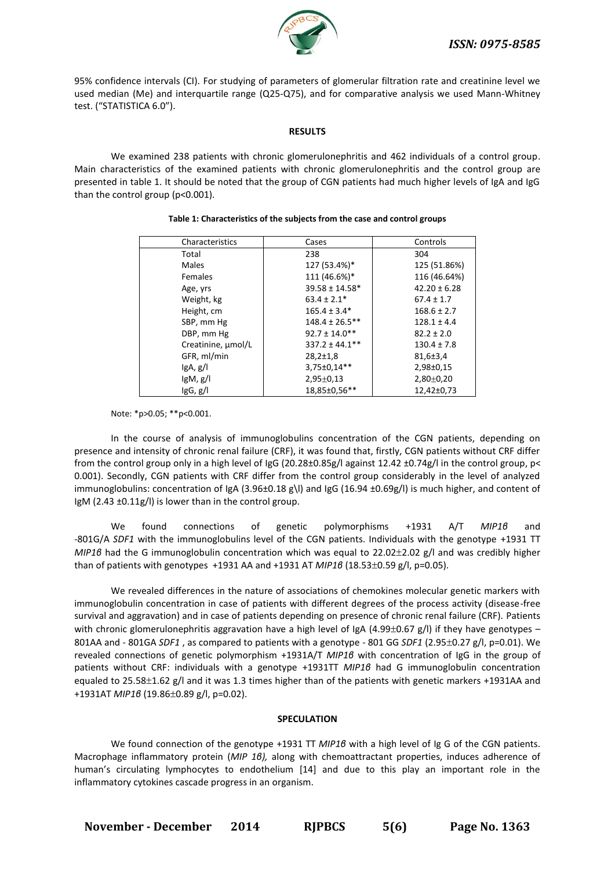

95% confidence intervals (CI). For studying of parameters of glomerular filtration rate and creatinine level we used median (Me) and interquartile range (Q25-Q75), and for comparative analysis we used Mann-Whitney test. ("STATISTICA 6.0").

#### **RESULTS**

We examined 238 patients with chronic glomerulonephritis and 462 individuals of a control group. Main characteristics of the examined patients with chronic glomerulonephritis and the control group are presented in table 1. It should be noted that the group of CGN patients had much higher levels of IgA and IgG than the control group (p<0.001).

| Characteristics    | Cases               | Controls         |
|--------------------|---------------------|------------------|
| Total              | 238                 | 304              |
| Males              | 127 (53.4%)*        | 125 (51.86%)     |
| <b>Females</b>     | 111 (46.6%)*        | 116 (46.64%)     |
| Age, yrs           | $39.58 \pm 14.58*$  | $42.20 \pm 6.28$ |
| Weight, kg         | $63.4 \pm 2.1*$     | $67.4 \pm 1.7$   |
| Height, cm         | $165.4 \pm 3.4*$    | $168.6 \pm 2.7$  |
| SBP, mm Hg         | $148.4 \pm 26.5***$ | $128.1 \pm 4.4$  |
| DBP, mm Hg         | $92.7 \pm 14.0$ **  | $82.2 \pm 2.0$   |
| Creatinine, µmol/L | $337.2 \pm 44.1$ ** | $130.4 \pm 7.8$  |
| GFR, ml/min        | $28,2{\pm}1,8$      | $81,6 \pm 3,4$   |
| gA, g              | 3,75±0,14**         | $2,98 \pm 0,15$  |
| $\lg M, g/l$       | $2,95 \pm 0,13$     | $2,80+0,20$      |
| IgG, g/l           | 18,85±0,56**        | 12,42±0,73       |

#### **Table 1: Characteristics of the subjects from the case and control groups**

Note: \*p>0.05; \*\*p<0.001.

In the course of analysis of immunoglobulins concentration of the CGN patients, depending on presence and intensity of chronic renal failure (CRF), it was found that, firstly, CGN patients without CRF differ from the control group only in a high level of IgG (20.28±0.85g/l against 12.42 ±0.74g/l in the control group, p< 0.001). Secondly, CGN patients with CRF differ from the control group considerably in the level of analyzed immunoglobulins: concentration of IgA (3.96±0.18 g\l) and IgG (16.94 ±0.69g/l) is much higher, and content of IgМ (2.43 ±0.11g/l) is lower than in the control group.

We found connections of genetic polymorphisms +1931 A/T *MIP1β* and -801G/A *SDF1* with the immunoglobulins level of the CGN patients. Individuals with the genotype +1931 ТТ *MIP16* had the G immunoglobulin concentration which was equal to 22.02±2.02 g/l and was credibly higher than of patients with genotypes +1931 AA and +1931 AT *MIP16* (18.53±0.59 g/l, p=0.05).

We revealed differences in the nature of associations of chemokines molecular genetic markers with immunoglobulin concentration in case of patients with different degrees of the process activity (disease-free survival and aggravation) and in case of patients depending on presence of chronic renal failure (CRF). Patients with chronic glomerulonephritis aggravation have a high level of IgA (4.99±0.67 g/l) if they have genotypes – 801AA and - 801GA *SDF1*, as compared to patients with a genotype - 801 GG *SDF1* (2.95±0.27 g/l, p=0.01). We revealed connections of genetic polymorphism +1931А/Т *MIP1β* with concentration of IgG in the group of patients without CRF: individuals with a genotype +1931ТТ *MIP1β* had G immunoglobulin concentration equaled to 25.58±1.62 g/l and it was 1.3 times higher than of the patients with genetic markers +1931AA and +1931AT *MIP16* (19.86±0.89 g/l, p=0.02).

#### **SPECULATION**

We found connection of the genotype +1931 ТТ *MIP1β* with a high level of Ig G of the CGN patients. Macrophage inflammatory protein (*MIP 1β),* along with chemoattractant properties, induces adherence of human's circulating lymphocytes to endothelium [14] and due to this play an important role in the inflammatory cytokines cascade progress in an organism.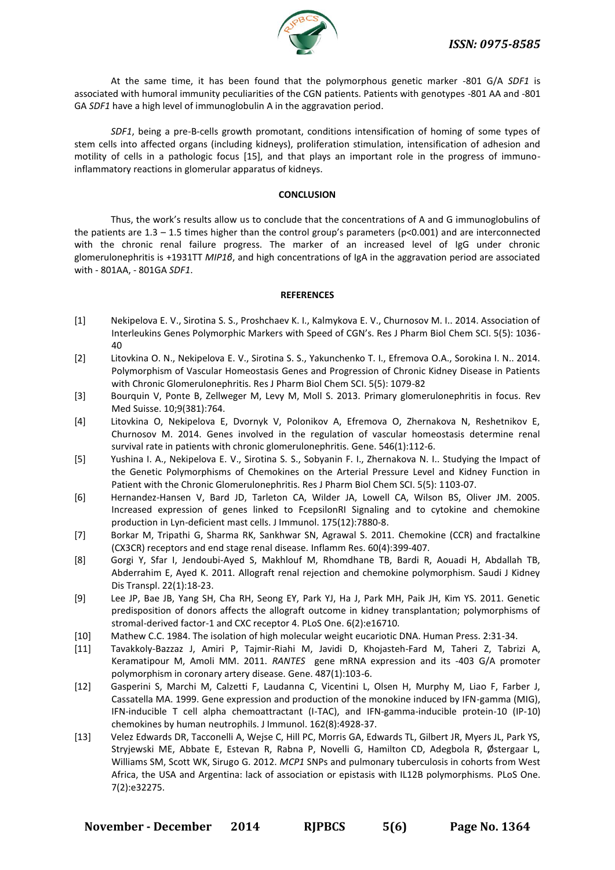

At the same time, it has been found that the polymorphous genetic marker -801 G/A *SDF1* is associated with humoral immunity peculiarities of the CGN patients. Patients with genotypes -801 АА and -801 GA *SDF1* have a high level of immunoglobulin А in the aggravation period.

*SDF1*, being a pre-B-cells growth promotant, conditions intensification of homing of some types of stem cells into affected organs (including kidneys), proliferation stimulation, intensification of adhesion and motility of cells in a pathologic focus [15], and that plays an important role in the progress of immunoinflammatory reactions in glomerular apparatus of kidneys.

#### **CONCLUSION**

Thus, the work's results allow us to conclude that the concentrations of A and G immunoglobulins of the patients are  $1.3 - 1.5$  times higher than the control group's parameters (p<0.001) and are interconnected with the chronic renal failure progress. The marker of an increased level of IgG under chronic glomerulonephritis is +1931ТТ *MIP1β*, and high concentrations of IgA in the aggravation period are associated with - 801AA, - 801GА *SDF1*.

#### **REFERENCES**

- [1] Nekipelova E. V., Sirotina S. S., Proshchaev K. I., Kalmykova E. V., Churnosov M. I.. 2014. Association of Interleukins Genes Polymorphic Markers with Speed of CGN's. Res J Pharm Biol Chem SCI. 5(5): 1036- 40
- [2] Litovkina O. N., Nekipelova E. V., Sirotina S. S., Yakunchenko T. I., Efremova O.A., Sorokina I. N.. 2014. Polymorphism of Vascular Homeostasis Genes and Progression of Chronic Kidney Disease in Patients with Chronic Glomerulonephritis. Res J Pharm Biol Chem SCI. 5(5): 1079-82
- [3] Bourquin V, Ponte B, Zellweger M, Levy M, Moll S. 2013. Primary glomerulonephritis in focus. Rev Med Suisse. 10;9(381):764.
- [4] Litovkina O, Nekipelova E, Dvornyk V, Polonikov A, Efremova O, Zhernakova N, Reshetnikov E, Churnosov M. 2014. [Genes involved in the regulation of vascular homeostasis determine renal](http://www.ncbi.nlm.nih.gov/pubmed/24727057)  [survival rate in patients with chronic glomerulonephritis.](http://www.ncbi.nlm.nih.gov/pubmed/24727057) Gene. 546(1):112-6.
- [5] Yushina I. A., Nekipelova E. V., Sirotina S. S., Sobyanin F. I., Zhernakova N. I.. Studying the Impact of the Genetic Polymorphisms of Chemokines on the Arterial Pressure Level and Kidney Function in Patient with the Chronic Glomerulonephritis. Res J Pharm Biol Chem SCI. 5(5): 1103-07.
- [6] Hernandez-Hansen V, Bard JD, Tarleton CA, Wilder JA, Lowell CA, Wilson BS, Oliver JM. 2005. Increased expression of genes linked to FcepsilonRI Signaling and to cytokine and chemokine production in Lyn-deficient mast cells. J Immunol. 175(12):7880-8.
- [7] Borkar M, Tripathi G, Sharma RK, Sankhwar SN, Agrawal S. 2011. Chemokine (CCR) and fractalkine (CX3CR) receptors and end stage renal disease. Inflamm Res. 60(4):399-407.
- [8] Gorgi Y, Sfar I, Jendoubi-Ayed S, Makhlouf M, Rhomdhane TB, Bardi R, Aouadi H, Abdallah TB, Abderrahim E, Ayed K. 2011. Allograft renal rejection and chemokine polymorphism. Saudi J Kidney Dis Transpl. 22(1):18-23.
- [9] Lee JP, Bae JB, Yang SH, Cha RH, Seong EY, Park YJ, Ha J, Park MH, Paik JH, Kim YS. 2011. Genetic predisposition of donors affects the allograft outcome in kidney transplantation; polymorphisms of stromal-derived factor-1 and CXC receptor 4. PLoS One. 6(2):e16710.
- [10] Mathew C.C. 1984. The isolation of high molecular weight eucariotic DNA. Human Press. 2:31-34.
- [11] Tavakkoly-Bazzaz J, Amiri P, Tajmir-Riahi M, Javidi D, Khojasteh-Fard M, Taheri Z, Tabrizi A, Keramatipour M, Amoli MM. 2011. *RANTES* gene mRNA expression and its -403 G/A promoter polymorphism in coronary artery disease. Gene. 487(1):103-6.
- [12] Gasperini S, Marchi M, Calzetti F, Laudanna C, Vicentini L, Olsen H, Murphy M, Liao F, Farber J, Cassatella MA. 1999. Gene expression and production of the monokine induced by IFN-gamma (MIG), IFN-inducible T cell alpha chemoattractant (I-TAC), and IFN-gamma-inducible protein-10 (IP-10) chemokines by human neutrophils. J Immunol. 162(8):4928-37.
- [13] Velez Edwards DR, Tacconelli A, Wejse C, Hill PC, Morris GA, Edwards TL, Gilbert JR, Myers JL, Park YS, Stryjewski ME, Abbate E, Estevan R, Rabna P, Novelli G, Hamilton CD, Adegbola R, Østergaar L, Williams SM, Scott WK, Sirugo G. 2012. *MCP1* SNPs and pulmonary tuberculosis in cohorts from West Africa, the USA and Argentina: lack of association or epistasis with IL12B polymorphisms. PLoS One. 7(2):e32275.